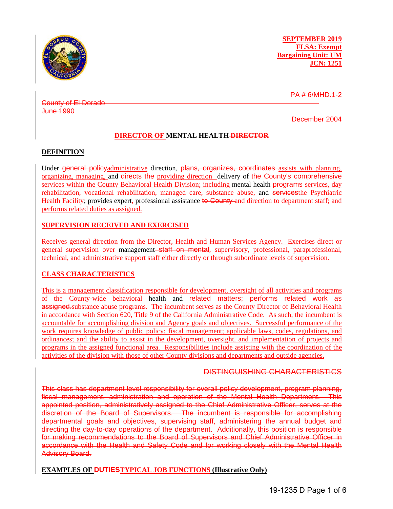

**SEPTEMBER 2019 FLSA: Exempt Bargaining Unit: UM JCN: 1251**

PA # 6/MHD.1-2

County of El Dorado June 1990

December 2004

### **DIRECTOR OF MENTAL HEALTH DIRECTOR**

### **DEFINITION**

Under general policyadministrative direction, plans, organizes, coordinates assists with planning, organizing, managing, and directs the providing direction delivery of the County's comprehensive services within the County Behavioral Health Division; including mental health **programs**-services, day rehabilitation, vocational rehabilitation, managed care, substance abuse, and servicesthe Psychiatric Health Facility; provides expert, professional assistance to County and direction to department staff; and performs related duties as assigned.

### **SUPERVISION RECEIVED AND EXERCISED**

Receives general direction from the Director, Health and Human Services Agency. Exercises direct or general supervision over management staff on montal, supervisory, professional, paraprofessional, technical, and administrative support staff either directly or through subordinate levels of supervision.

# **CLASS CHARACTERISTICS**

This is a management classification responsible for development, oversight of all activities and programs of the County-wide behavioral health and related matters; performs related work as assigned.substance abuse programs. The incumbent serves as the County Director of Behavioral Health in accordance with Section 620, Title 9 of the California Administrative Code. As such, the incumbent is accountable for accomplishing division and Agency goals and objectives. Successful performance of the work requires knowledge of public policy; fiscal management; applicable laws, codes, regulations, and ordinances; and the ability to assist in the development, oversight, and implementation of projects and programs in the assigned functional area. Responsibilities include assisting with the coordination of the activities of the division with those of other County divisions and departments and outside agencies.

### DISTINGUISHING CHARACTERISTICS

This class has department level responsibility for overall policy development, program planning, fiscal management, administration and operation of the Mental Health Department. This appointed position, administratively assigned to the Chief Administrative Officer, serves at the discretion of the Board of Supervisors. The incumbent is responsible for accomplishing departmental goals and objectives, supervising staff, administering the annual budget and directing the day-to-day operations of the department. Additionally, this position is responsible for making recommendations to the Board of Supervisors and Chief Administrative Officer in accordance with the Health and Safety Code and for working closely with the Mental Health Advisory Board.

# **EXAMPLES OF DUTIESTYPICAL JOB FUNCTIONS (Illustrative Only)**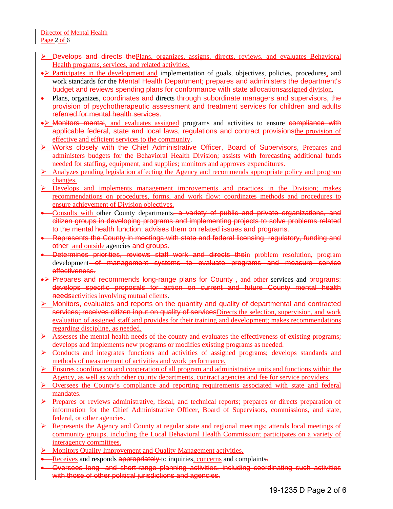Director of Mental Health Page 2 of 6

- **EXECT** Develops and directs the Plans, organizes, assigns, directs, reviews, and evaluates Behavioral Health programs, services, and related activities.
- Participates in the development and implementation of goals, objectives, policies, procedures, and work standards for the **Mental Health Department; prepares and administers the department's** budget and reviews spending plans for conformance with state allocationsassigned division.
- Plans, organizes, coordinates and directs through subordinate managers and supervisors, the provision of psychotherapeutic assessment and treatment services for children and adults referred for mental health services.
- Monitors mental, and evaluates assigned programs and activities to ensure compliance with applicable federal, state and local laws, regulations and contract provisionsthe provision of effective and efficient services to the community.
- Works closely with the Chief Administrative Officer, Board of Supervisors, Prepares and administers budgets for the Behavioral Health Division; assists with forecasting additional funds needed for staffing, equipment, and supplies; monitors and approves expenditures.
- Analyzes pending legislation affecting the Agency and recommends appropriate policy and program changes.
- $\triangleright$  Develops and implements management improvements and practices in the Division; makes recommendations on procedures, forms, and work flow; coordinates methods and procedures to ensure achievement of Division objectives.
- Consults with other County departments, a variety of public and private organizations, and citizen groups in developing programs and implementing projects to solve problems related to the mental health function; advises them on related issues and programs.
- Represents the County in meetings with state and federal licensing, regulatory, funding and other and outside agencies and groups.
- Determines priorities, reviews staff work and directs thein problem resolution, program development of management systems to evaluate programs and measure service effectiveness.
- Prepares and recommends long-range plans for County, and other services and programs; develops specific proposals for action on current and future County mental health needs activities involving mutual clients.
- **E** Monitors, evaluates and reports on the quantity and quality of departmental and contracted services; receives citizen input on quality of services Directs the selection, supervision, and work evaluation of assigned staff and provides for their training and development; makes recommendations regarding discipline, as needed.
- Assesses the mental health needs of the county and evaluates the effectiveness of existing programs; develops and implements new programs or modifies existing programs as needed.
- $\triangleright$  Conducts and integrates functions and activities of assigned programs; develops standards and methods of measurement of activities and work performance.
- Ensures coordination and cooperation of all program and administrative units and functions within the Agency, as well as with other county departments, contract agencies and fee for service providers.
- **Oversees the County's compliance and reporting requirements associated with state and federal** mandates.
- $\triangleright$  Prepares or reviews administrative, fiscal, and technical reports; prepares or directs preparation of information for the Chief Administrative Officer, Board of Supervisors, commissions, and state, federal, or other agencies.
- **EXECUTE:** Represents the Agency and County at regular state and regional meetings; attends local meetings of community groups, including the Local Behavioral Health Commission; participates on a variety of interagency committees.
- **Monitors Quality Improvement and Quality Management activities.**
- Receives and responds appropriately to inquiries, concerns and complaints-
- Oversees long- and short-range planning activities, including coordinating such activities with those of other political jurisdictions and agencies.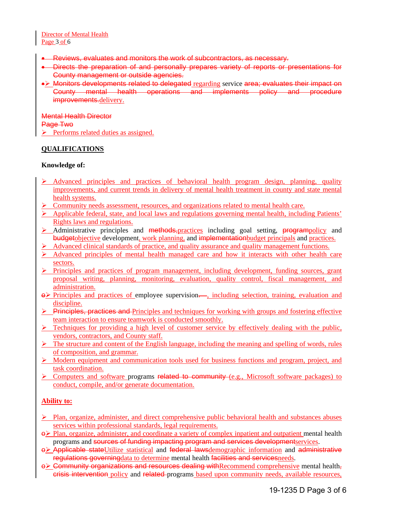- Reviews, evaluates and monitors the work of subcontractors, as necessary.
- Directs the preparation of and personally prepares variety of reports or presentations for County management or outside agencies.
- Monitors developments related to delegated regarding service area; evaluates their impact on County mental health operations and implements policy and procedure improvements.delivery.

Mental Health Director Page Two  $\triangleright$  Performs related duties as assigned.

### **QUALIFICATIONS**

### **Knowledge of:**

- $\triangleright$  Advanced principles and practices of behavioral health program design, planning, quality improvements, and current trends in delivery of mental health treatment in county and state mental health systems.
- $\triangleright$  Community needs assessment, resources, and organizations related to mental health care.
- Applicable federal, state, and local laws and regulations governing mental health, including Patients' Rights laws and regulations.
- Administrative principles and methods, practices including goal setting, programpolicy and budgetobjective development, work planning, and implementationbudget principals and practices.
- Advanced clinical standards of practice, and quality assurance and quality management functions.
- Advanced principles of mental health managed care and how it interacts with other health care sectors.
- $\triangleright$  Principles and practices of program management, including development, funding sources, grant proposal writing, planning, monitoring, evaluation, quality control, fiscal management, and administration.
- $\Theta$  Principles and practices of employee supervision. , including selection, training, evaluation and discipline.
- $\triangleright$  Principles, practices and Principles and techniques for working with groups and fostering effective team interaction to ensure teamwork is conducted smoothly.
- $\triangleright$  Techniques for providing a high level of customer service by effectively dealing with the public, vendors, contractors, and County staff.
- $\triangleright$  The structure and content of the English language, including the meaning and spelling of words, rules of composition, and grammar.
- Modern equipment and communication tools used for business functions and program, project, and task coordination.
- **EX** Computers and software programs related to community (e.g., Microsoft software packages) to conduct, compile, and/or generate documentation.

# **Ability to:**

- $\triangleright$  Plan, organize, administer, and direct comprehensive public behavioral health and substances abuses services within professional standards, legal requirements.
- $\Theta$  Plan, organize, administer, and coordinate a variety of complex inpatient and outpatient mental health programs and sources of funding impacting program and services developmentservices.
- o Applicable stateUtilize statistical and federal lawsdemographic information and administrative regulations governingdata to determine mental health facilities and servicesneeds.
- $\Theta$  Community organizations and resources dealing with Recommend comprehensive mental healthcrisis intervention policy and related programs based upon community needs, available resources,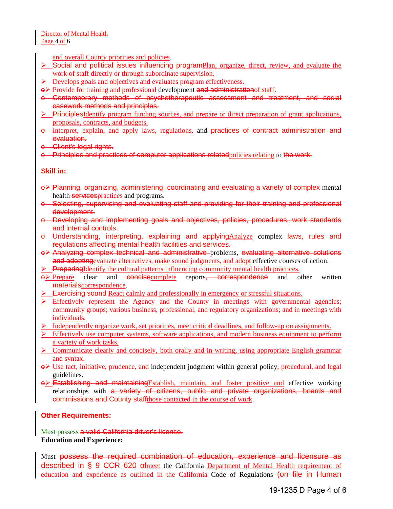and overall County priorities and policies.

- Social and political issues influencing programPlan, organize, direct, review, and evaluate the work of staff directly or through subordinate supervision.
- $\triangleright$  Develops goals and objectives and evaluates program effectiveness.
- $\Theta$  Provide for training and professional development and administration of staff.
- o Contemporary methods of psychotherapeutic assessment and treatment, and social casework methods and principles.
- $\triangleright$  PrinciplesIdentify program funding sources, and prepare or direct preparation of grant applications, proposals, contracts, and budgets.
- $\theta$ -Interpret, explain, and apply laws, regulations, and practices of contract administration and evaluation.
- o Client's legal rights.
- o Principles and practices of computer applications relatedpolicies relating to the work.

### **Skill in:**

- o Planning, organizing, administering, coordinating and evaluating a variety of complex mental health **services** practices and programs.
- o Selecting, supervising and evaluating staff and providing for their training and professional development.
- o Developing and implementing goals and objectives, policies, procedures, work standards and internal controls.
- o Understanding, interpreting, explaining and applyingAnalyze complex laws, rules and regulations affecting mental health facilities and services.
- o > Analyzing complex technical and administrative problems, evaluating alternative solutions and adopting evaluate alternatives, make sound judgments, and adopt effective courses of action.
- $\triangleright$  PreparingIdentify the cultural patterns influencing community mental health practices.
- $\Theta$  Prepare clear and concise complete reports, correspondence and other written materialscorrespondence.
- Exercising sound React calmly and professionally in emergency or stressful situations.
- $\triangleright$  Effectively represent the Agency and the County in meetings with governmental agencies; community groups; various business, professional, and regulatory organizations; and in meetings with individuals.
- $\triangleright$  Independently organize work, set priorities, meet critical deadlines, and follow-up on assignments.
- $\triangleright$  Effectively use computer systems, software applications, and modern business equipment to perform a variety of work tasks.
- $\triangleright$  Communicate clearly and concisely, both orally and in writing, using appropriate English grammar and syntax.
- $\Theta$  Use tact, initiative, prudence, and independent judgment within general policy, procedural, and legal guidelines.
- $\Theta$  Establishing and maintaining Establish, maintain, and foster positive and effective working relationships with a variety of citizens, public and private organizations, boards and commissions and County staffthose contacted in the course of work.

### **Other Requirements:**

Must possess a valid California driver's license. **Education and Experience:**

Must possess the required combination of education, experience and licensure as described in § 9 CCR 620 ofmeet the California Department of Mental Health requirement of education and experience as outlined in the California Code of Regulations–(on file in Human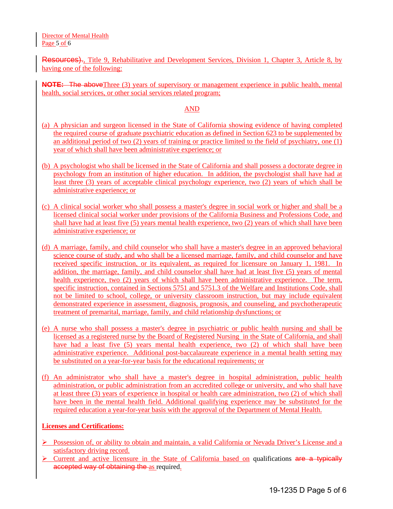Director of Mental Health Page 5 of 6

Resources)., Title 9, Rehabilitative and Development Services, Division 1, Chapter 3, Article 8, by having one of the following:

**NOTE:** The aboveThree (3) years of supervisory or management experience in public health, mental health, social services, or other social services related program;

#### AND

- (a) A physician and surgeon licensed in the State of California showing evidence of having completed the required course of graduate psychiatric education as defined in Section 623 to be supplemented by an additional period of two (2) years of training or practice limited to the field of psychiatry, one (1) year of which shall have been administrative experience; or
- (b) A psychologist who shall be licensed in the State of California and shall possess a doctorate degree in psychology from an institution of higher education. In addition, the psychologist shall have had at least three (3) years of acceptable clinical psychology experience, two (2) years of which shall be administrative experience; or
- (c) A clinical social worker who shall possess a master's degree in social work or higher and shall be a licensed clinical social worker under provisions of the California Business and Professions Code, and shall have had at least five (5) years mental health experience, two (2) years of which shall have been administrative experience; or
- (d) A marriage, family, and child counselor who shall have a master's degree in an approved behavioral science course of study, and who shall be a licensed marriage, family, and child counselor and have received specific instruction, or its equivalent, as required for licensure on January 1, 1981. In addition, the marriage, family, and child counselor shall have had at least five (5) years of mental health experience, two (2) years of which shall have been administrative experience. The term, specific instruction, contained in Sections 5751 and 5751.3 of the Welfare and Institutions Code, shall not be limited to school, college, or university classroom instruction, but may include equivalent demonstrated experience in assessment, diagnosis, prognosis, and counseling, and psychotherapeutic treatment of premarital, marriage, family, and child relationship dysfunctions; or
- (e) A nurse who shall possess a master's degree in psychiatric or public health nursing and shall be licensed as a registered nurse by the Board of Registered Nursing in the State of California, and shall have had a least five (5) years mental health experience, two (2) of which shall have been administrative experience. Additional post-baccalaureate experience in a mental health setting may be substituted on a year-for-year basis for the educational requirements; or
- (f) An administrator who shall have a master's degree in hospital administration, public health administration, or public administration from an accredited college or university, and who shall have at least three (3) years of experience in hospital or health care administration, two (2) of which shall have been in the mental health field. Additional qualifying experience may be substituted for the required education a year-for-year basis with the approval of the Department of Mental Health.

### **Licenses and Certifications:**

- Possession of, or ability to obtain and maintain, a valid California or Nevada Driver's License and a satisfactory driving record.
- $\triangleright$  Current and active licensure in the State of California based on qualifications are a typically accepted way of obtaining the as required.